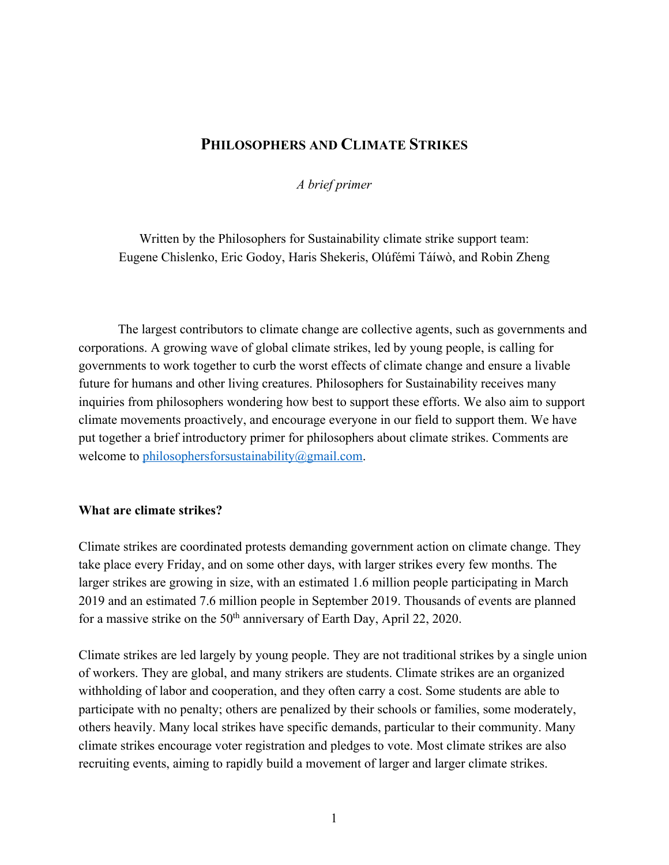# **PHILOSOPHERS AND CLIMATE STRIKES**

*A brief primer*

Written by the Philosophers for Sustainability climate strike support team: Eugene Chislenko, Eric Godoy, Haris Shekeris, Olúfémi Táíwò, and Robin Zheng

The largest contributors to climate change are collective agents, such as governments and corporations. A growing wave of global climate strikes, led by young people, is calling for governments to work together to curb the worst effects of climate change and ensure a livable future for humans and other living creatures. Philosophers for Sustainability receives many inquiries from philosophers wondering how best to support these efforts. We also aim to support climate movements proactively, and encourage everyone in our field to support them. We have put together a brief introductory primer for philosophers about climate strikes. Comments are welcome to philosophersforsustainability@gmail.com.

#### **What are climate strikes?**

Climate strikes are coordinated protests demanding government action on climate change. They take place every Friday, and on some other days, with larger strikes every few months. The larger strikes are growing in size, with an estimated 1.6 million people participating in March 2019 and an estimated 7.6 million people in September 2019. Thousands of events are planned for a massive strike on the  $50<sup>th</sup>$  anniversary of Earth Day, April 22, 2020.

Climate strikes are led largely by young people. They are not traditional strikes by a single union of workers. They are global, and many strikers are students. Climate strikes are an organized withholding of labor and cooperation, and they often carry a cost. Some students are able to participate with no penalty; others are penalized by their schools or families, some moderately, others heavily. Many local strikes have specific demands, particular to their community. Many climate strikes encourage voter registration and pledges to vote. Most climate strikes are also recruiting events, aiming to rapidly build a movement of larger and larger climate strikes.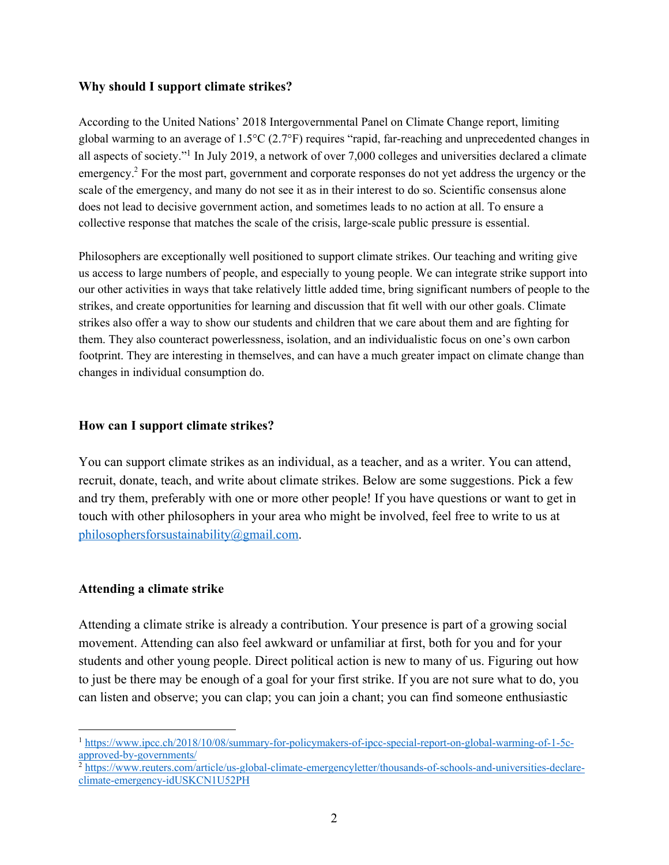#### **Why should I support climate strikes?**

According to the United Nations' 2018 Intergovernmental Panel on Climate Change report, limiting global warming to an average of 1.5°C (2.7°F) requires "rapid, far-reaching and unprecedented changes in all aspects of society."1 In July 2019, a network of over 7,000 colleges and universities declared a climate emergency.<sup>2</sup> For the most part, government and corporate responses do not yet address the urgency or the scale of the emergency, and many do not see it as in their interest to do so. Scientific consensus alone does not lead to decisive government action, and sometimes leads to no action at all. To ensure a collective response that matches the scale of the crisis, large-scale public pressure is essential.

Philosophers are exceptionally well positioned to support climate strikes. Our teaching and writing give us access to large numbers of people, and especially to young people. We can integrate strike support into our other activities in ways that take relatively little added time, bring significant numbers of people to the strikes, and create opportunities for learning and discussion that fit well with our other goals. Climate strikes also offer a way to show our students and children that we care about them and are fighting for them. They also counteract powerlessness, isolation, and an individualistic focus on one's own carbon footprint. They are interesting in themselves, and can have a much greater impact on climate change than changes in individual consumption do.

#### **How can I support climate strikes?**

You can support climate strikes as an individual, as a teacher, and as a writer. You can attend, recruit, donate, teach, and write about climate strikes. Below are some suggestions. Pick a few and try them, preferably with one or more other people! If you have questions or want to get in touch with other philosophers in your area who might be involved, feel free to write to us at philosophersforsustainability@gmail.com.

#### **Attending a climate strike**

Attending a climate strike is already a contribution. Your presence is part of a growing social movement. Attending can also feel awkward or unfamiliar at first, both for you and for your students and other young people. Direct political action is new to many of us. Figuring out how to just be there may be enough of a goal for your first strike. If you are not sure what to do, you can listen and observe; you can clap; you can join a chant; you can find someone enthusiastic

<sup>&</sup>lt;sup>1</sup> https://www.ipcc.ch/2018/10/08/summary-for-policymakers-of-ipcc-special-report-on-global-warming-of-1-5capproved-by-governments/

<sup>&</sup>lt;sup>2</sup> https://www.reuters.com/article/us-global-climate-emergencyletter/thousands-of-schools-and-universities-declareclimate-emergency-idUSKCN1U52PH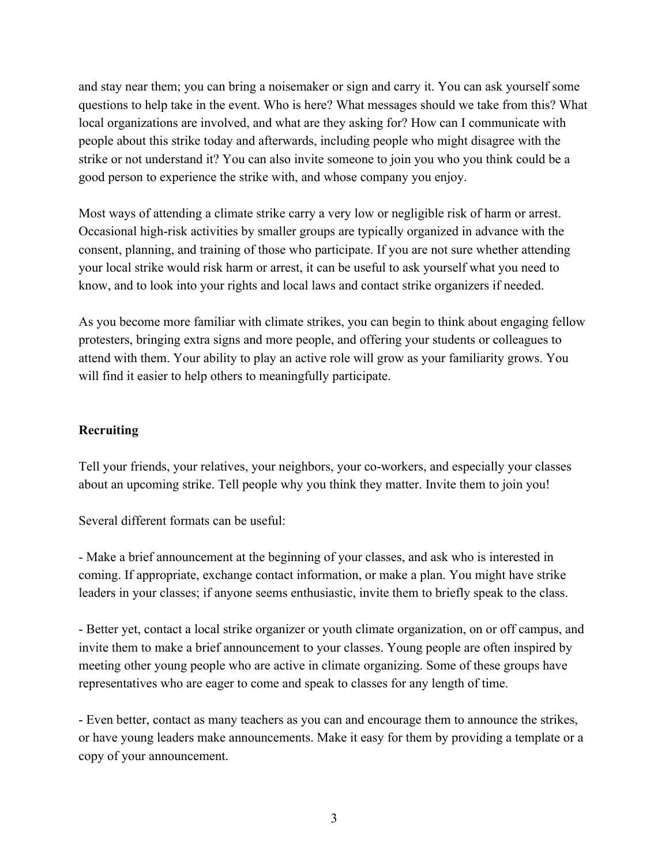and stay near them; you can bring a noisemaker or sign and carry it. You can ask yourself some questions to help take in the event. Who is here? What messages should we take from this? What local organizations are involved, and what are they asking for? How can I communicate with people about this strike today and afterwards, including people who might disagree with the strike or not understand it? You can also invite someone to join you who you think could be a good person to experience the strike with, and whose company you enjoy.

Most ways of attending a climate strike carry a very low or negligible risk of harm or arrest. Occasional high-risk activities by smaller groups are typically organized in advance with the consent, planning, and training of those who participate. If you are not sure whether attending your local strike would risk harm or arrest, it can be useful to ask yourself what you need to know, and to look into your rights and local laws and contact strike organizers if needed.

As you become more familiar with climate strikes, you can begin to think about engaging fellow protesters, bringing extra signs and more people, and offering your students or colleagues to attend with them. Your ability to play an active role will grow as your familiarity grows. You will find it easier to help others to meaningfully participate.

#### **Recruiting**

Tell your friends, your relatives, your neighbors, your co-workers, and especially your classes about an upcoming strike. Tell people why you think they matter. Invite them to join you!

Several different formats can be useful:

- Make a brief announcement at the beginning of your classes, and ask who is interested in coming. If appropriate, exchange contact information, or make a plan. You might have strike leaders in your classes; if anyone seems enthusiastic, invite them to briefly speak to the class.

- Better yet, contact a local strike organizer or youth climate organization, on or off campus, and invite them to make a brief announcement to your classes. Young people are often inspired by meeting other young people who are active in climate organizing. Some of these groups have representatives who are eager to come and speak to classes for any length of time.

- Even better, contact as many teachers as you can and encourage them to announce the strikes, or have young leaders make announcements. Make it easy for them by providing a template or a copy of your announcement.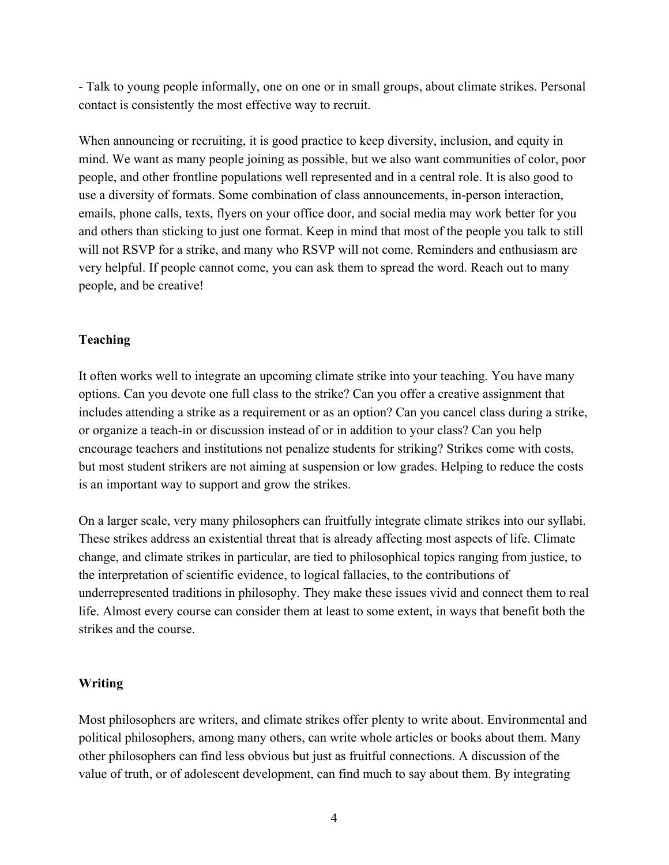- Talk to young people informally, one on one or in small groups, about climate strikes. Personal contact is consistently the most effective way to recruit.

When announcing or recruiting, it is good practice to keep diversity, inclusion, and equity in mind. We want as many people joining as possible, but we also want communities of color, poor people, and other frontline populations well represented and in a central role. It is also good to use a diversity of formats. Some combination of class announcements, in-person interaction, emails, phone calls, texts, flyers on your office door, and social media may work better for you and others than sticking to just one format. Keep in mind that most of the people you talk to still will not RSVP for a strike, and many who RSVP will not come. Reminders and enthusiasm are very helpful. If people cannot come, you can ask them to spread the word. Reach out to many people, and be creative!

### **Teaching**

It often works well to integrate an upcoming climate strike into your teaching. You have many options. Can you devote one full class to the strike? Can you offer a creative assignment that includes attending a strike as a requirement or as an option? Can you cancel class during a strike, or organize a teach-in or discussion instead of or in addition to your class? Can you help encourage teachers and institutions not penalize students for striking? Strikes come with costs, but most student strikers are not aiming at suspension or low grades. Helping to reduce the costs is an important way to support and grow the strikes.

On a larger scale, very many philosophers can fruitfully integrate climate strikes into our syllabi. These strikes address an existential threat that is already affecting most aspects of life. Climate change, and climate strikes in particular, are tied to philosophical topics ranging from justice, to the interpretation of scientific evidence, to logical fallacies, to the contributions of underrepresented traditions in philosophy. They make these issues vivid and connect them to real life. Almost every course can consider them at least to some extent, in ways that benefit both the strikes and the course.

## **Writing**

Most philosophers are writers, and climate strikes offer plenty to write about. Environmental and political philosophers, among many others, can write whole articles or books about them. Many other philosophers can find less obvious but just as fruitful connections. A discussion of the value of truth, or of adolescent development, can find much to say about them. By integrating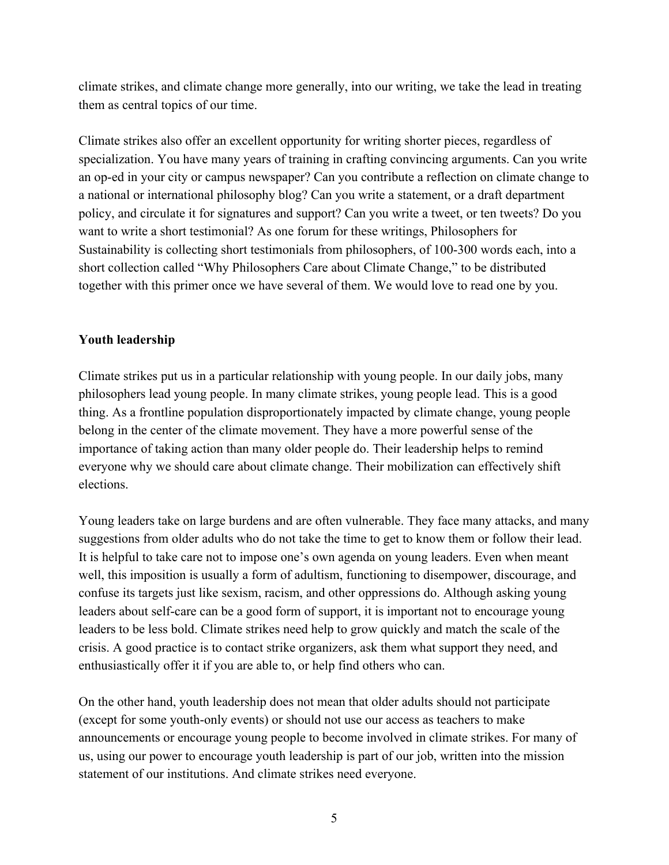climate strikes, and climate change more generally, into our writing, we take the lead in treating them as central topics of our time.

Climate strikes also offer an excellent opportunity for writing shorter pieces, regardless of specialization. You have many years of training in crafting convincing arguments. Can you write an op-ed in your city or campus newspaper? Can you contribute a reflection on climate change to a national or international philosophy blog? Can you write a statement, or a draft department policy, and circulate it for signatures and support? Can you write a tweet, or ten tweets? Do you want to write a short testimonial? As one forum for these writings, Philosophers for Sustainability is collecting short testimonials from philosophers, of 100-300 words each, into a short collection called "Why Philosophers Care about Climate Change," to be distributed together with this primer once we have several of them. We would love to read one by you.

### **Youth leadership**

Climate strikes put us in a particular relationship with young people. In our daily jobs, many philosophers lead young people. In many climate strikes, young people lead. This is a good thing. As a frontline population disproportionately impacted by climate change, young people belong in the center of the climate movement. They have a more powerful sense of the importance of taking action than many older people do. Their leadership helps to remind everyone why we should care about climate change. Their mobilization can effectively shift elections.

Young leaders take on large burdens and are often vulnerable. They face many attacks, and many suggestions from older adults who do not take the time to get to know them or follow their lead. It is helpful to take care not to impose one's own agenda on young leaders. Even when meant well, this imposition is usually a form of adultism, functioning to disempower, discourage, and confuse its targets just like sexism, racism, and other oppressions do. Although asking young leaders about self-care can be a good form of support, it is important not to encourage young leaders to be less bold. Climate strikes need help to grow quickly and match the scale of the crisis. A good practice is to contact strike organizers, ask them what support they need, and enthusiastically offer it if you are able to, or help find others who can.

On the other hand, youth leadership does not mean that older adults should not participate (except for some youth-only events) or should not use our access as teachers to make announcements or encourage young people to become involved in climate strikes. For many of us, using our power to encourage youth leadership is part of our job, written into the mission statement of our institutions. And climate strikes need everyone.